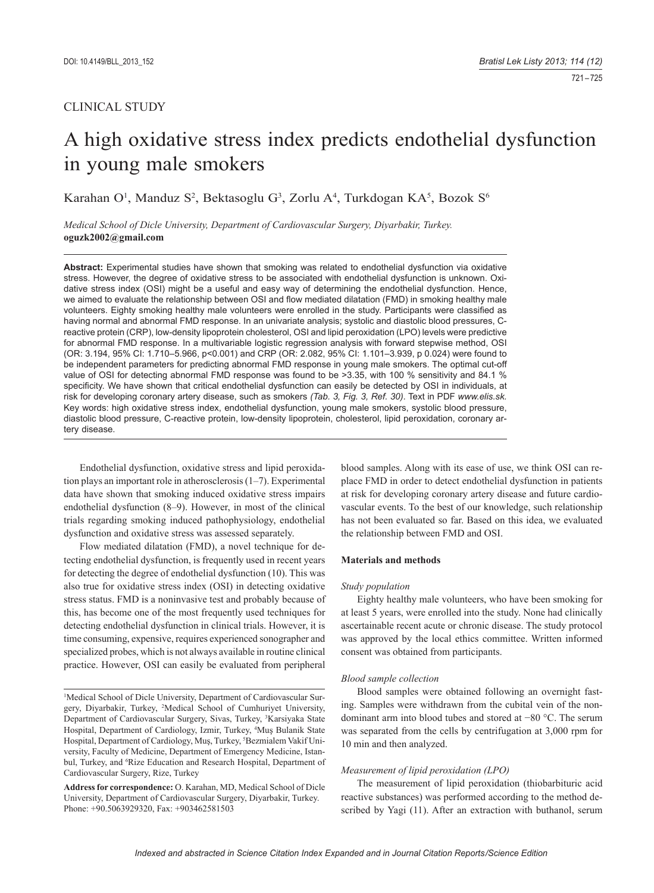# CLINICAL STUDY

# A high oxidative stress index predicts endothelial dysfunction in young male smokers

Karahan O<sup>1</sup>, Manduz S<sup>2</sup>, Bektasoglu G<sup>3</sup>, Zorlu A<sup>4</sup>, Turkdogan KA<sup>5</sup>, Bozok S<sup>6</sup>

*Medical School of Dicle University, Department of Cardiovascular Surgery, Diyarbakir, Turkey.*  **oguzk2002@gmail.com**

**Abstract:** Experimental studies have shown that smoking was related to endothelial dysfunction via oxidative stress. However, the degree of oxidative stress to be associated with endothelial dysfunction is unknown. Oxidative stress index (OSI) might be a useful and easy way of determining the endothelial dysfunction. Hence, we aimed to evaluate the relationship between OSI and flow mediated dilatation (FMD) in smoking healthy male volunteers. Eighty smoking healthy male volunteers were enrolled in the study. Participants were classified as having normal and abnormal FMD response. In an univariate analysis; systolic and diastolic blood pressures, Creactive protein (CRP), low-density lipoprotein cholesterol, OSI and lipid peroxidation (LPO) levels were predictive for abnormal FMD response. In a multivariable logistic regression analysis with forward stepwise method, OSI (OR: 3.194, 95% CI: 1.710–5.966, p<0.001) and CRP (OR: 2.082, 95% CI: 1.101–3.939, p 0.024) were found to be independent parameters for predicting abnormal FMD response in young male smokers. The optimal cut-off value of OSI for detecting abnormal FMD response was found to be >3.35, with 100 % sensitivity and 84.1 % specificity. We have shown that critical endothelial dysfunction can easily be detected by OSI in individuals, at risk for developing coronary artery disease, such as smokers *(Tab. 3, Fig. 3, Ref. 30)*. Text in PDF *www.elis.sk.* Key words: high oxidative stress index, endothelial dysfunction, young male smokers, systolic blood pressure, diastolic blood pressure, C-reactive protein, low-density lipoprotein, cholesterol, lipid peroxidation, coronary artery disease.

Endothelial dysfunction, oxidative stress and lipid peroxidation plays an important role in atherosclerosis (1–7). Experimental data have shown that smoking induced oxidative stress impairs endothelial dysfunction (8–9). However, in most of the clinical trials regarding smoking induced pathophysiology, endothelial dysfunction and oxidative stress was assessed separately.

Flow mediated dilatation (FMD), a novel technique for detecting endothelial dysfunction, is frequently used in recent years for detecting the degree of endothelial dysfunction (10). This was also true for oxidative stress index (OSI) in detecting oxidative stress status. FMD is a noninvasive test and probably because of this, has become one of the most frequently used techniques for detecting endothelial dysfunction in clinical trials. However, it is time consuming, expensive, requires experienced sonographer and specialized probes, which is not always available in routine clinical practice. However, OSI can easily be evaluated from peripheral

<sup>1</sup>Medical School of Dicle University, Department of Cardiovascular Surgery, Diyarbakir, Turkey, 2 Medical School of Cumhuriyet University, Department of Cardiovascular Surgery, Sivas, Turkey, <sup>3</sup>Karsiyaka State Hospital, Department of Cardiology, Izmir, Turkey, 4 Muş Bulanik State Hospital, Department of Cardiology, Muş, Turkey, <sup>5</sup>Bezmialem Vakif University, Faculty of Medicine, Department of Emergency Medicine, Istanbul, Turkey, and <sup>6</sup>Rize Education and Research Hospital, Department of Cardiovascular Surgery, Rize, Turkey

**Address for correspondence:** O. Karahan, MD, Medical School of Dicle University, Department of Cardiovascular Surgery, Diyarbakir, Turkey. Phone: +90.5063929320, Fax: +903462581503

blood samples. Along with its ease of use, we think OSI can replace FMD in order to detect endothelial dysfunction in patients at risk for developing coronary artery disease and future cardiovascular events. To the best of our knowledge, such relationship has not been evaluated so far. Based on this idea, we evaluated the relationship between FMD and OSI.

## **Materials and methods**

#### *Study population*

Eighty healthy male volunteers, who have been smoking for at least 5 years, were enrolled into the study. None had clinically ascertainable recent acute or chronic disease. The study protocol was approved by the local ethics committee. Written informed consent was obtained from participants.

## *Blood sample collection*

Blood samples were obtained following an overnight fasting. Samples were withdrawn from the cubital vein of the nondominant arm into blood tubes and stored at −80 °C. The serum was separated from the cells by centrifugation at 3,000 rpm for 10 min and then analyzed.

#### *Measurement of lipid peroxidation (LPO)*

The measurement of lipid peroxidation (thiobarbituric acid reactive substances) was performed according to the method described by Yagi (11). After an extraction with buthanol, serum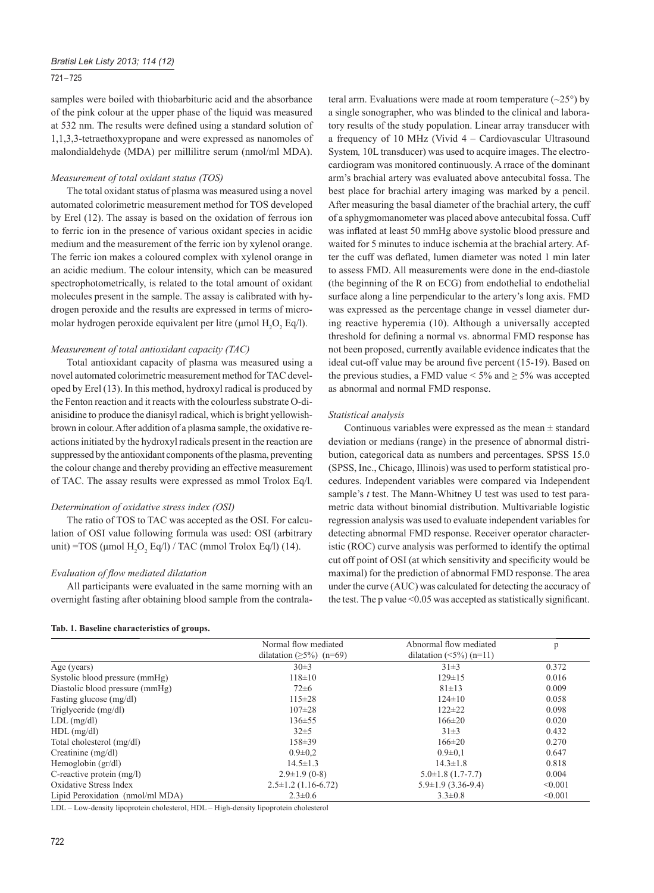## *Bratisl Lek Listy 2013; 114 (12)*

## 721 – 725

samples were boiled with thiobarbituric acid and the absorbance of the pink colour at the upper phase of the liquid was measured at 532 nm. The results were defined using a standard solution of 1,1,3,3-tetraethoxypropane and were expressed as nanomoles of malondialdehyde (MDA) per millilitre serum (nmol/ml MDA).

#### *Measurement of total oxidant status (TOS)*

The total oxidant status of plasma was measured using a novel automated colorimetric measurement method for TOS developed by Erel (12). The assay is based on the oxidation of ferrous ion to ferric ion in the presence of various oxidant species in acidic medium and the measurement of the ferric ion by xylenol orange. The ferric ion makes a coloured complex with xylenol orange in an acidic medium. The colour intensity, which can be measured spectrophotometrically, is related to the total amount of oxidant molecules present in the sample. The assay is calibrated with hydrogen peroxide and the results are expressed in terms of micromolar hydrogen peroxide equivalent per litre ( $\mu$ mol H<sub>2</sub>O<sub>2</sub> Eq/l).

## *Measurement of total antioxidant capacity (TAC)*

Total antioxidant capacity of plasma was measured using a novel automated colorimetric measurement method for TAC developed by Erel (13). In this method, hydroxyl radical is produced by the Fenton reaction and it reacts with the colourless substrate O-dianisidine to produce the dianisyl radical, which is bright yellowishbrown in colour. After addition of a plasma sample, the oxidative reactions initiated by the hydroxyl radicals present in the reaction are suppressed by the antioxidant components of the plasma, preventing the colour change and thereby providing an effective measurement of TAC. The assay results were expressed as mmol Trolox Eq/l.

## *Determination of oxidative stress index (OSI)*

The ratio of TOS to TAC was accepted as the OSI. For calculation of OSI value following formula was used: OSI (arbitrary unit) =TOS ( $\mu$ mol H<sub>2</sub>O<sub>2</sub> Eq/l) / TAC (mmol Trolox Eq/l) (14).

## *Evaluation of flow mediated dilatation*

All participants were evaluated in the same morning with an overnight fasting after obtaining blood sample from the contralateral arm. Evaluations were made at room temperature  $(\sim 25^{\circ})$  by a single sonographer, who was blinded to the clinical and laboratory results of the study population. Linear array transducer with a frequency of 10 MHz (Vivid 4 – Cardiovascular Ultrasound System*,* 10L transducer) was used to acquire images. The electrocardiogram was monitored continuously. A rrace of the dominant arm's brachial artery was evaluated above antecubital fossa. The best place for brachial artery imaging was marked by a pencil. After measuring the basal diameter of the brachial artery, the cuff of a sphygmomanometer was placed above antecubital fossa. Cuff was inflated at least 50 mmHg above systolic blood pressure and waited for 5 minutes to induce ischemia at the brachial artery. After the cuff was deflated, lumen diameter was noted 1 min later to assess FMD. All measurements were done in the end-diastole (the beginning of the R on ECG) from endothelial to endothelial surface along a line perpendicular to the artery's long axis. FMD was expressed as the percentage change in vessel diameter during reactive hyperemia (10). Although a universally accepted threshold for defining a normal vs. abnormal FMD response has not been proposed, currently available evidence indicates that the ideal cut-off value may be around five percent (15-19). Based on the previous studies, a FMD value  $\leq 5\%$  and  $\geq 5\%$  was accepted as abnormal and normal FMD response.

#### *Statistical analysis*

Continuous variables were expressed as the mean  $\pm$  standard deviation or medians (range) in the presence of abnormal distribution, categorical data as numbers and percentages. SPSS 15.0 (SPSS, Inc., Chicago, Illinois) was used to perform statistical procedures. Independent variables were compared via Independent sample's *t* test. The Mann-Whitney U test was used to test parametric data without binomial distribution. Multivariable logistic regression analysis was used to evaluate independent variables for detecting abnormal FMD response. Receiver operator characteristic (ROC) curve analysis was performed to identify the optimal cut off point of OSI (at which sensitivity and specificity would be maximal) for the prediction of abnormal FMD response. The area under the curve (AUC) was calculated for detecting the accuracy of the test. The p value  $\leq 0.05$  was accepted as statistically significant.

#### **Tab. 1. Baseline characteristics of groups.**

|                                  | Normal flow mediated           | Abnormal flow mediated         | p       |
|----------------------------------|--------------------------------|--------------------------------|---------|
|                                  | dilatation $(\geq 5\%)$ (n=69) | dilatation $(\leq 5\%)$ (n=11) |         |
| Age (years)                      | 30±3                           | $31\pm3$                       | 0.372   |
| Systolic blood pressure (mmHg)   | $118\pm10$                     | $129 \pm 15$                   | 0.016   |
| Diastolic blood pressure (mmHg)  | $72 \pm 6$                     | $81 \pm 13$                    | 0.009   |
| Fasting glucose (mg/dl)          | $115 \pm 28$                   | $124 \pm 10$                   | 0.058   |
| Triglyceride (mg/dl)             | $107 \pm 28$                   | $122 \pm 22$                   | 0.098   |
| $LDL$ (mg/dl)                    | $136 \pm 55$                   | $166 \pm 20$                   | 0.020   |
| $HDL$ (mg/dl)                    | $32 \pm 5$                     | $31\pm3$                       | 0.432   |
| Total cholesterol (mg/dl)        | $158 \pm 39$                   | $166 \pm 20$                   | 0.270   |
| Creatinine $(mg/dl)$             | $0.9 \pm 0.2$                  | $0.9 \pm 0.1$                  | 0.647   |
| Hemoglobin $\frac{gr}{dl}$       | $14.5 \pm 1.3$                 | $14.3 \pm 1.8$                 | 0.818   |
| C-reactive protein $(mg/l)$      | $2.9 \pm 1.9(0-8)$             | $5.0 \pm 1.8$ (1.7-7.7)        | 0.004   |
| Oxidative Stress Index           | $2.5 \pm 1.2$ (1.16-6.72)      | $5.9 \pm 1.9$ (3.36-9.4)       | < 0.001 |
| Lipid Peroxidation (nmol/ml MDA) | $2.3 \pm 0.6$                  | $3.3 \pm 0.8$                  | < 0.001 |

LDL – Low-density lipoprotein cholesterol, HDL – High-density lipoprotein cholesterol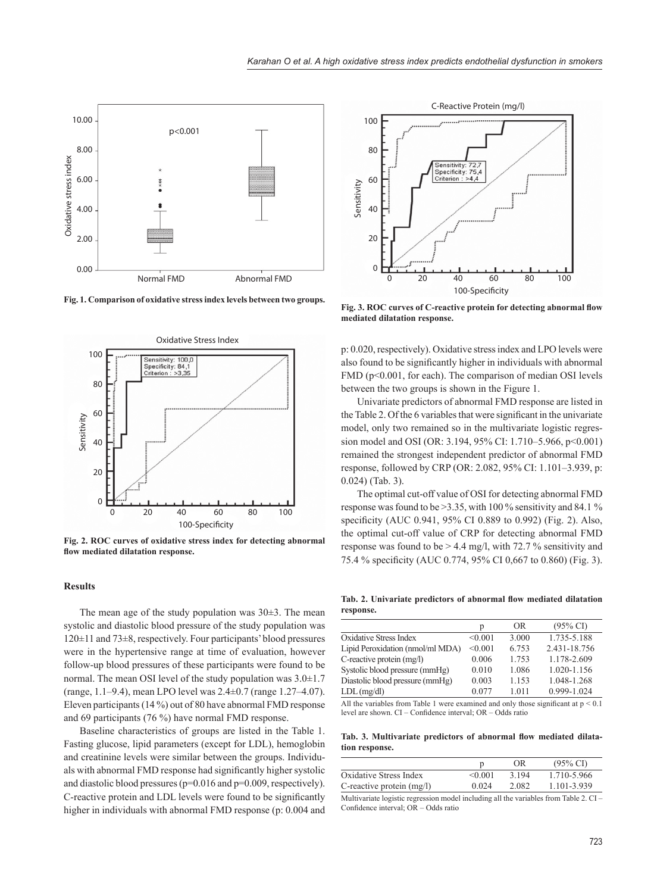

**Fig. 1. Comparison of oxidative stress index levels between two groups.**



**Fig. 2. ROC curves of oxidative stress index for detecting abnormal**  flow mediated dilatation response.

#### **Results**

The mean age of the study population was  $30\pm3$ . The mean systolic and diastolic blood pressure of the study population was 120±11 and 73±8, respectively. Four participants' blood pressures were in the hypertensive range at time of evaluation, however follow-up blood pressures of these participants were found to be normal. The mean OSI level of the study population was 3.0±1.7 (range, 1.1–9.4), mean LPO level was 2.4±0.7 (range 1.27–4.07). Eleven participants (14 %) out of 80 have abnormal FMD response and 69 participants (76 %) have normal FMD response.

Baseline characteristics of groups are listed in the Table 1. Fasting glucose, lipid parameters (except for LDL), hemoglobin and creatinine levels were similar between the groups. Individuals with abnormal FMD response had significantly higher systolic and diastolic blood pressures (p=0.016 and p=0.009, respectively). C-reactive protein and LDL levels were found to be significantly higher in individuals with abnormal FMD response (p: 0.004 and



Fig. 3. ROC curves of C-reactive protein for detecting abnormal flow **mediated dilatation response.**

p: 0.020, respectively). Oxidative stress index and LPO levels were also found to be significantly higher in individuals with abnormal FMD ( $p<0.001$ , for each). The comparison of median OSI levels between the two groups is shown in the Figure 1.

Univariate predictors of abnormal FMD response are listed in the Table 2. Of the 6 variables that were significant in the univariate model, only two remained so in the multivariate logistic regression model and OSI (OR: 3.194, 95% CI: 1.710–5.966, p<0.001) remained the strongest independent predictor of abnormal FMD response, followed by CRP (OR: 2.082, 95% CI: 1.101–3.939, p: 0.024) (Tab. 3).

The optimal cut-off value of OSI for detecting abnormal FMD response was found to be >3.35, with 100 % sensitivity and 84.1 % specificity (AUC 0.941, 95% CI 0.889 to 0.992) (Fig. 2). Also, the optimal cut-off value of CRP for detecting abnormal FMD response was found to be  $> 4.4$  mg/l, with 72.7 % sensitivity and 75.4 % specificity (AUC 0.774, 95% CI 0,667 to 0.860) (Fig. 3).

Tab. 2. Univariate predictors of abnormal flow mediated dilatation **response.**

|                                  | p       | OR.     | $(95\% \text{ CI})$ |
|----------------------------------|---------|---------|---------------------|
| Oxidative Stress Index           | < 0.001 | 3.000   | 1.735-5.188         |
| Lipid Peroxidation (nmol/ml MDA) | < 0.001 | 6.753   | 2.431-18.756        |
| C-reactive protein (mg/l)        | 0.006   | 1 753   | 1.178-2.609         |
| Systolic blood pressure (mmHg)   | 0.010   | 1.086   | 1.020-1.156         |
| Diastolic blood pressure (mmHg)  | 0.003   | 1 1 5 3 | 1.048-1.268         |
| $LDL$ (mg/dl)                    | 0.077   | 1.011   | 0.999-1.024         |
|                                  |         |         |                     |

All the variables from Table 1 were examined and only those significant at  $p \leq 0.1$ level are shown. CI – Confidence interval; OR – Odds ratio

Tab. 3. Multivariate predictors of abnormal flow mediated dilata**tion response.**

|                                                                                                                                |         | OR    | $(95\% \text{ C}I)$ |
|--------------------------------------------------------------------------------------------------------------------------------|---------|-------|---------------------|
| Oxidative Stress Index                                                                                                         | < 0.001 | 3.194 | 1.710-5.966         |
| C-reactive protein $(mg/l)$                                                                                                    | 0.024   | 2.082 | 1.101-3.939         |
| $\mathbf{v}$ , and $\mathbf{v}$ , and $\mathbf{v}$ , and $\mathbf{v}$ , and $\mathbf{v}$ , and $\mathbf{v}$ , and $\mathbf{v}$ |         |       |                     |

Multivariate logistic regression model including all the variables from Table 2. CI – Confidence interval: OR – Odds ratio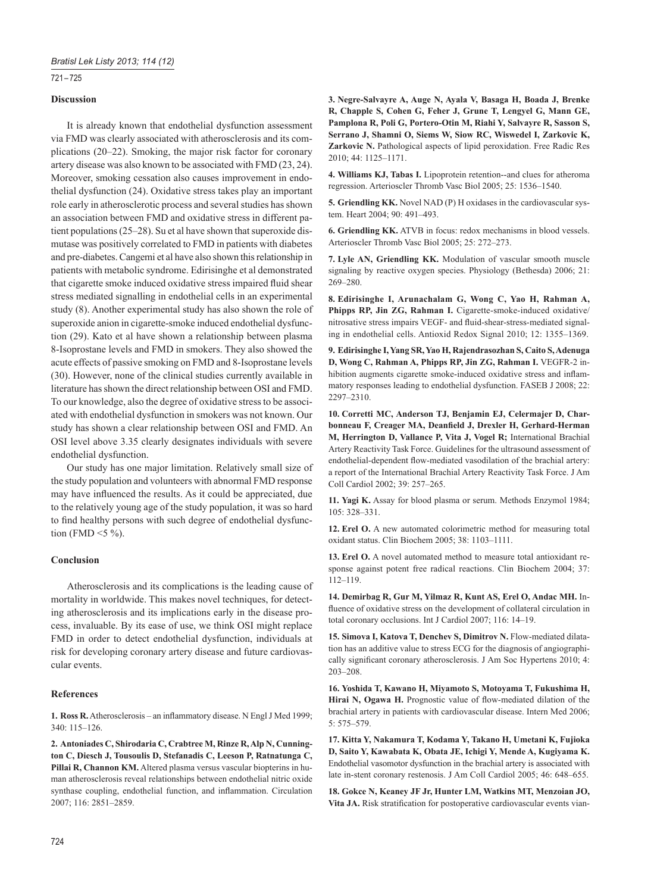## 721 – 725

## **Discussion**

It is already known that endothelial dysfunction assessment via FMD was clearly associated with atherosclerosis and its complications (20–22). Smoking, the major risk factor for coronary artery disease was also known to be associated with FMD (23, 24). Moreover, smoking cessation also causes improvement in endothelial dysfunction (24). Oxidative stress takes play an important role early in atherosclerotic process and several studies has shown an association between FMD and oxidative stress in different patient populations (25–28). Su et al have shown that superoxide dismutase was positively correlated to FMD in patients with diabetes and pre-diabetes. Cangemi et al have also shown this relationship in patients with metabolic syndrome. Edirisinghe et al demonstrated that cigarette smoke induced oxidative stress impaired fluid shear stress mediated signalling in endothelial cells in an experimental study (8). Another experimental study has also shown the role of superoxide anion in cigarette-smoke induced endothelial dysfunction (29). Kato et al have shown a relationship between plasma 8-Isoprostane levels and FMD in smokers. They also showed the acute effects of passive smoking on FMD and 8-Isoprostane levels (30). However, none of the clinical studies currently available in literature has shown the direct relationship between OSI and FMD. To our knowledge, also the degree of oxidative stress to be associated with endothelial dysfunction in smokers was not known. Our study has shown a clear relationship between OSI and FMD. An OSI level above 3.35 clearly designates individuals with severe endothelial dysfunction.

Our study has one major limitation. Relatively small size of the study population and volunteers with abnormal FMD response may have influenced the results. As it could be appreciated, due to the relatively young age of the study population, it was so hard to find healthy persons with such degree of endothelial dysfunction (FMD  $\leq$ 5 %).

## **Conclusion**

Atherosclerosis and its complications is the leading cause of mortality in worldwide. This makes novel techniques, for detecting atherosclerosis and its implications early in the disease process, invaluable. By its ease of use, we think OSI might replace FMD in order to detect endothelial dysfunction, individuals at risk for developing coronary artery disease and future cardiovascular events.

## **References**

1. Ross R. Atherosclerosis – an inflammatory disease. N Engl J Med 1999;  $340 \cdot 115 - 126$ 

**2. Antoniades C, Shirodaria C, Crabtree M, Rinze R, Alp N, Cunnington C, Diesch J, Tousoulis D, Stefanadis C, Leeson P, Ratnatunga C, Pillai R, Channon KM.** Altered plasma versus vascular biopterins in human atherosclerosis reveal relationships between endothelial nitric oxide synthase coupling, endothelial function, and inflammation. Circulation 2007; 116: 2851 –2859.

**3. Negre-Salvayre A, Auge N, Ayala V, Basaga H, Boada J, Brenke R, Chapple S, Cohen G, Feher J, Grune T, Lengyel G, Mann GE, Pamplona R, Poli G, Portero-Otin M, Riahi Y, Salvayre R, Sasson S, Serrano J, Shamni O, Siems W, Siow RC, Wiswedel I, Zarkovic K, Zarkovic N.** Pathological aspects of lipid peroxidation. Free Radic Res 2010; 44: 1125–1171.

**4. Williams KJ, Tabas I.** Lipoprotein retention--and clues for atheroma regression. Arterioscler Thromb Vasc Biol 2005; 25: 1536–1540.

**5. Griendling KK.** Novel NAD (P) H oxidases in the cardiovascular system. Heart 2004; 90: 491–493.

**6. Griendling KK.** ATVB in focus: redox mechanisms in blood vessels. Arterioscler Thromb Vasc Biol 2005; 25: 272–273.

**7. Lyle AN, Griendling KK.** Modulation of vascular smooth muscle signaling by reactive oxygen species. Physiology (Bethesda) 2006; 21: 269–280.

**8. Edirisinghe I, Arunachalam G, Wong C, Yao H, Rahman A, Phipps RP, Jin ZG, Rahman I.** Cigarette-smoke-induced oxidative/ nitrosative stress impairs VEGF- and fluid-shear-stress-mediated signaling in endothelial cells. Antioxid Redox Signal 2010; 12: 1355–1369.

**9. Edirisinghe I, Yang SR, Yao H, Rajendrasozhan S, Caito S, Adenuga D, Wong C, Rahman A, Phipps RP, Jin ZG, Rahman I.** VEGFR-2 inhibition augments cigarette smoke-induced oxidative stress and inflammatory responses leading to endothelial dysfunction. FASEB J 2008; 22: 2297–2310.

**10. Corretti MC, Anderson TJ, Benjamin EJ, Celermajer D, Char**bonneau F, Creager MA, Deanfield J, Drexler H, Gerhard-Herman **M, Herrington D, Vallance P, Vita J, Vogel R;** International Brachial Artery Reactivity Task Force. Guidelines for the ultrasound assessment of endothelial-dependent flow-mediated vasodilation of the brachial artery: a report of the International Brachial Artery Reactivity Task Force. J Am Coll Cardiol 2002; 39: 257–265.

**11. Yagi K.** Assay for blood plasma or serum. Methods Enzymol 1984; 105: 328–331.

**12. Erel O.** A new automated colorimetric method for measuring total oxidant status. Clin Biochem 2005; 38: 1103–1111.

**13. Erel O.** A novel automated method to measure total antioxidant response against potent free radical reactions. Clin Biochem 2004; 37: 112–119.

**14. Demirbag R, Gur M, Yilmaz R, Kunt AS, Erel O, Andac MH.** Influence of oxidative stress on the development of collateral circulation in total coronary occlusions. Int J Cardiol 2007; 116: 14–19.

**15. Simova I, Katova T, Denchev S, Dimitrov N.** Flow-mediated dilatation has an additive value to stress ECG for the diagnosis of angiographically significant coronary atherosclerosis. J Am Soc Hypertens 2010; 4: 203–208.

**16. Yoshida T, Kawano H, Miyamoto S, Motoyama T, Fukushima H,**  Hirai N, Ogawa H. Prognostic value of flow-mediated dilation of the brachial artery in patients with cardiovascular disease. Intern Med 2006; 5: 575–579.

**17. Kitta Y, Nakamura T, Kodama Y, Takano H, Umetani K, Fujioka D, Saito Y, Kawabata K, Obata JE, Ichigi Y, Mende A, Kugiyama K.** Endothelial vasomotor dysfunction in the brachial artery is associated with late in-stent coronary restenosis. J Am Coll Cardiol 2005; 46: 648–655.

**18. Gokce N, Keaney JF Jr, Hunter LM, Watkins MT, Menzoian JO,**  Vita JA. Risk stratification for postoperative cardiovascular events vian